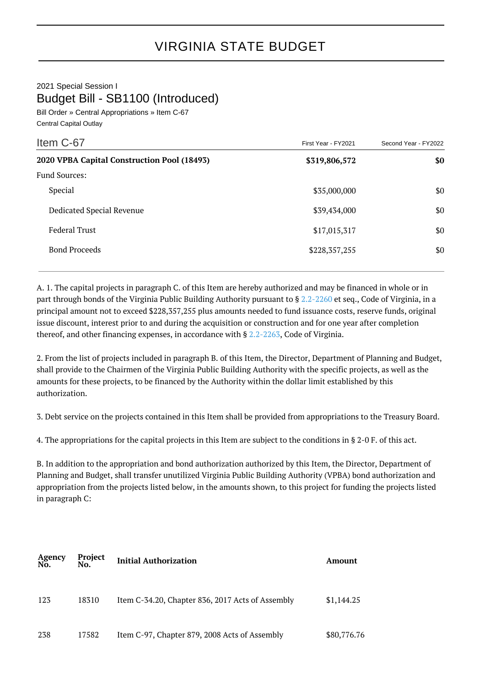## 2021 Special Session I Budget Bill - SB1100 (Introduced)

Bill Order » Central Appropriations » Item C-67 Central Capital Outlay

| Item C-67                                   | First Year - FY2021 | Second Year - FY2022<br>\$0 |
|---------------------------------------------|---------------------|-----------------------------|
| 2020 VPBA Capital Construction Pool (18493) | \$319,806,572       |                             |
| <b>Fund Sources:</b>                        |                     |                             |
| Special                                     | \$35,000,000        | \$0                         |
| Dedicated Special Revenue                   | \$39,434,000        | \$0                         |
| <b>Federal Trust</b>                        | \$17,015,317        | \$0                         |
| <b>Bond Proceeds</b>                        | \$228,357,255       | \$0                         |
|                                             |                     |                             |

A. 1. The capital projects in paragraph C. of this Item are hereby authorized and may be financed in whole or in part through bonds of the Virginia Public Building Authority pursuant to § [2.2-2260](http://law.lis.virginia.gov/vacode/2.2-2260/) et seq., Code of Virginia, in a principal amount not to exceed \$228,357,255 plus amounts needed to fund issuance costs, reserve funds, original issue discount, interest prior to and during the acquisition or construction and for one year after completion thereof, and other financing expenses, in accordance with § [2.2-2263,](http://law.lis.virginia.gov/vacode/2.2-2263/) Code of Virginia.

2. From the list of projects included in paragraph B. of this Item, the Director, Department of Planning and Budget, shall provide to the Chairmen of the Virginia Public Building Authority with the specific projects, as well as the amounts for these projects, to be financed by the Authority within the dollar limit established by this authorization.

3. Debt service on the projects contained in this Item shall be provided from appropriations to the Treasury Board.

4. The appropriations for the capital projects in this Item are subject to the conditions in § 2-0 F. of this act.

B. In addition to the appropriation and bond authorization authorized by this Item, the Director, Department of Planning and Budget, shall transfer unutilized Virginia Public Building Authority (VPBA) bond authorization and appropriation from the projects listed below, in the amounts shown, to this project for funding the projects listed in paragraph C:

| Agency<br>No. | Project<br>No. | <b>Initial Authorization</b>                     | Amount      |
|---------------|----------------|--------------------------------------------------|-------------|
| 123           | 18310          | Item C-34.20, Chapter 836, 2017 Acts of Assembly | \$1,144.25  |
| 238           | 17582          | Item C-97, Chapter 879, 2008 Acts of Assembly    | \$80,776.76 |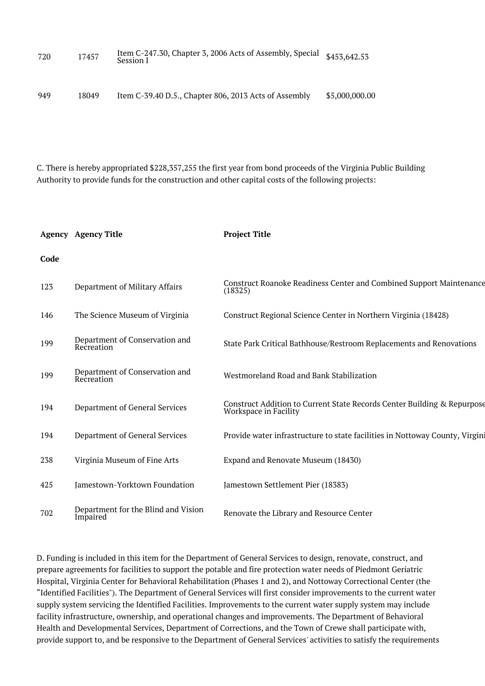| 720 | 17457 | 11em C-247.30, Chapter 3, 2006 Acts of Assembly, Special $$453,642.53$<br>Session I |  |
|-----|-------|-------------------------------------------------------------------------------------|--|
|     |       |                                                                                     |  |

949 18049 Item C-39.40 D.5., Chapter 806, 2013 Acts of Assembly \$5,000,000.00

C. There is hereby appropriated \$228,357,255 the first year from bond proceeds of the Virginia Public Building Authority to provide funds for the construction and other capital costs of the following projects:

|      | <b>Agency Agency Title</b>                      | <b>Project Title</b>                                                                             |
|------|-------------------------------------------------|--------------------------------------------------------------------------------------------------|
| Code |                                                 |                                                                                                  |
| 123  | Department of Military Affairs                  | Construct Roanoke Readiness Center and Combined Support Maintenance<br>(18325)                   |
| 146  | The Science Museum of Virginia                  | Construct Regional Science Center in Northern Virginia (18428)                                   |
| 199  | Department of Conservation and<br>Recreation    | State Park Critical Bathhouse/Restroom Replacements and Renovations                              |
| 199  | Department of Conservation and<br>Recreation    | Westmoreland Road and Bank Stabilization                                                         |
| 194  | Department of General Services                  | Construct Addition to Current State Records Center Building & Repurpose<br>Workspace in Facility |
| 194  | Department of General Services                  | Provide water infrastructure to state facilities in Nottoway County, Virgini                     |
| 238  | Virginia Museum of Fine Arts                    | Expand and Renovate Museum (18430)                                                               |
| 425  | Jamestown-Yorktown Foundation                   | Jamestown Settlement Pier (18383)                                                                |
| 702  | Department for the Blind and Vision<br>Impaired | Renovate the Library and Resource Center                                                         |

D. Funding is included in this item for the Department of General Services to design, renovate, construct, and prepare agreements for facilities to support the potable and fire protection water needs of Piedmont Geriatric Hospital, Virginia Center for Behavioral Rehabilitation (Phases 1 and 2), and Nottoway Correctional Center (the "Identified Facilities"). The Department of General Services will first consider improvements to the current water supply system servicing the Identified Facilities. Improvements to the current water supply system may include facility infrastructure, ownership, and operational changes and improvements. The Department of Behavioral Health and Developmental Services, Department of Corrections, and the Town of Crewe shall participate with, provide support to, and be responsive to the Department of General Services' activities to satisfy the requirements